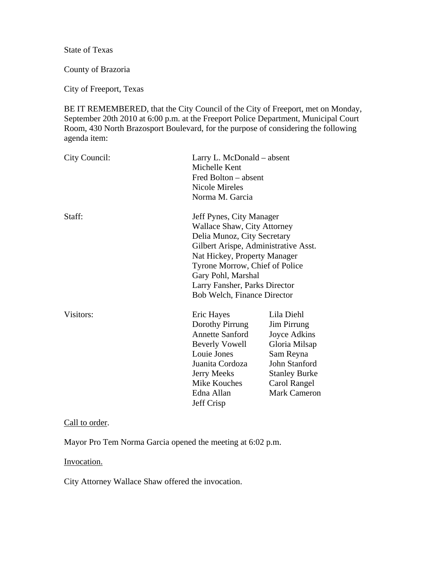State of Texas

County of Brazoria

City of Freeport, Texas

BE IT REMEMBERED, that the City Council of the City of Freeport, met on Monday, September 20th 2010 at 6:00 p.m. at the Freeport Police Department, Municipal Court Room, 430 North Brazosport Boulevard, for the purpose of considering the following agenda item:

| City Council: | Larry L. McDonald – absent<br>Michelle Kent<br>Fred Bolton – absent<br><b>Nicole Mireles</b><br>Norma M. Garcia                                                                      |                                                                                                                                                         |
|---------------|--------------------------------------------------------------------------------------------------------------------------------------------------------------------------------------|---------------------------------------------------------------------------------------------------------------------------------------------------------|
| Staff:        | Jeff Pynes, City Manager<br>Wallace Shaw, City Attorney<br>Delia Munoz, City Secretary<br>Gilbert Arispe, Administrative Asst.<br>Nat Hickey, Property Manager                       |                                                                                                                                                         |
|               | Tyrone Morrow, Chief of Police<br>Gary Pohl, Marshal<br>Larry Fansher, Parks Director<br><b>Bob Welch, Finance Director</b>                                                          |                                                                                                                                                         |
| Visitors:     | Eric Hayes<br>Dorothy Pirrung<br><b>Annette Sanford</b><br><b>Beverly Vowell</b><br>Louie Jones<br>Juanita Cordoza<br><b>Jerry Meeks</b><br>Mike Kouches<br>Edna Allan<br>Jeff Crisp | Lila Diehl<br>Jim Pirrung<br>Joyce Adkins<br>Gloria Milsap<br>Sam Reyna<br>John Stanford<br><b>Stanley Burke</b><br>Carol Rangel<br><b>Mark Cameron</b> |

### Call to order.

Mayor Pro Tem Norma Garcia opened the meeting at 6:02 p.m.

#### Invocation.

City Attorney Wallace Shaw offered the invocation.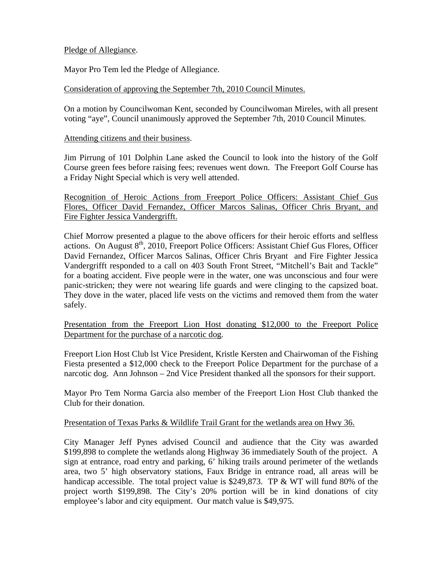## Pledge of Allegiance.

Mayor Pro Tem led the Pledge of Allegiance.

## Consideration of approving the September 7th, 2010 Council Minutes.

On a motion by Councilwoman Kent, seconded by Councilwoman Mireles, with all present voting "aye", Council unanimously approved the September 7th, 2010 Council Minutes.

#### Attending citizens and their business.

Jim Pirrung of 101 Dolphin Lane asked the Council to look into the history of the Golf Course green fees before raising fees; revenues went down. The Freeport Golf Course has a Friday Night Special which is very well attended.

Recognition of Heroic Actions from Freeport Police Officers: Assistant Chief Gus Flores, Officer David Fernandez, Officer Marcos Salinas, Officer Chris Bryant, and Fire Fighter Jessica Vandergrifft.

Chief Morrow presented a plague to the above officers for their heroic efforts and selfless actions. On August 8<sup>th</sup>, 2010, Freeport Police Officers: Assistant Chief Gus Flores, Officer David Fernandez, Officer Marcos Salinas, Officer Chris Bryant and Fire Fighter Jessica Vandergrifft responded to a call on 403 South Front Street, "Mitchell's Bait and Tackle" for a boating accident. Five people were in the water, one was unconscious and four were panic-stricken; they were not wearing life guards and were clinging to the capsized boat. They dove in the water, placed life vests on the victims and removed them from the water safely.

Presentation from the Freeport Lion Host donating \$12,000 to the Freeport Police Department for the purchase of a narcotic dog.

Freeport Lion Host Club lst Vice President, Kristle Kersten and Chairwoman of the Fishing Fiesta presented a \$12,000 check to the Freeport Police Department for the purchase of a narcotic dog. Ann Johnson – 2nd Vice President thanked all the sponsors for their support.

Mayor Pro Tem Norma Garcia also member of the Freeport Lion Host Club thanked the Club for their donation.

#### Presentation of Texas Parks & Wildlife Trail Grant for the wetlands area on Hwy 36.

City Manager Jeff Pynes advised Council and audience that the City was awarded \$199,898 to complete the wetlands along Highway 36 immediately South of the project. A sign at entrance, road entry and parking, 6' hiking trails around perimeter of the wetlands area, two 5' high observatory stations, Faux Bridge in entrance road, all areas will be handicap accessible. The total project value is \$249,873. TP & WT will fund 80% of the project worth \$199,898. The City's 20% portion will be in kind donations of city employee's labor and city equipment. Our match value is \$49,975.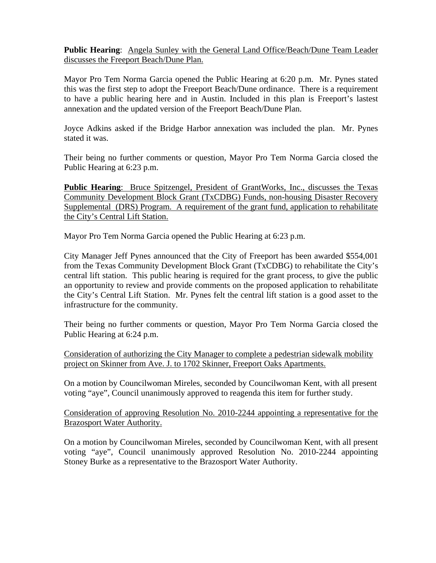**Public Hearing**: Angela Sunley with the General Land Office/Beach/Dune Team Leader discusses the Freeport Beach/Dune Plan.

Mayor Pro Tem Norma Garcia opened the Public Hearing at 6:20 p.m. Mr. Pynes stated this was the first step to adopt the Freeport Beach/Dune ordinance. There is a requirement to have a public hearing here and in Austin. Included in this plan is Freeport's lastest annexation and the updated version of the Freeport Beach/Dune Plan.

Joyce Adkins asked if the Bridge Harbor annexation was included the plan. Mr. Pynes stated it was.

Their being no further comments or question, Mayor Pro Tem Norma Garcia closed the Public Hearing at 6:23 p.m.

**Public Hearing**: Bruce Spitzengel, President of GrantWorks, Inc., discusses the Texas Community Development Block Grant (TxCDBG) Funds, non-housing Disaster Recovery Supplemental (DRS) Program. A requirement of the grant fund, application to rehabilitate the City's Central Lift Station.

Mayor Pro Tem Norma Garcia opened the Public Hearing at 6:23 p.m.

City Manager Jeff Pynes announced that the City of Freeport has been awarded \$554,001 from the Texas Community Development Block Grant (TxCDBG) to rehabilitate the City's central lift station. This public hearing is required for the grant process, to give the public an opportunity to review and provide comments on the proposed application to rehabilitate the City's Central Lift Station. Mr. Pynes felt the central lift station is a good asset to the infrastructure for the community.

Their being no further comments or question, Mayor Pro Tem Norma Garcia closed the Public Hearing at 6:24 p.m.

Consideration of authorizing the City Manager to complete a pedestrian sidewalk mobility project on Skinner from Ave. J. to 1702 Skinner, Freeport Oaks Apartments.

On a motion by Councilwoman Mireles, seconded by Councilwoman Kent, with all present voting "aye", Council unanimously approved to reagenda this item for further study.

Consideration of approving Resolution No. 2010-2244 appointing a representative for the Brazosport Water Authority.

On a motion by Councilwoman Mireles, seconded by Councilwoman Kent, with all present voting "aye", Council unanimously approved Resolution No. 2010-2244 appointing Stoney Burke as a representative to the Brazosport Water Authority.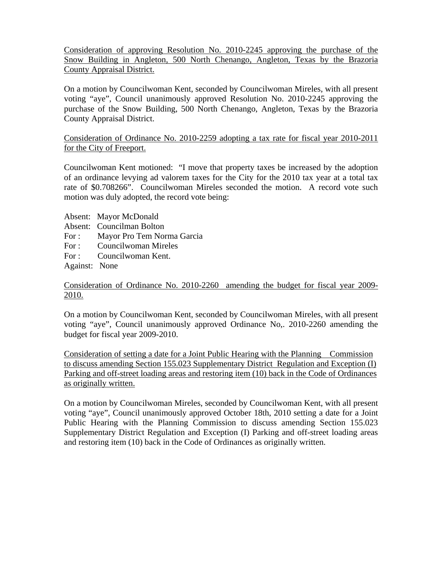Consideration of approving Resolution No. 2010-2245 approving the purchase of the Snow Building in Angleton, 500 North Chenango, Angleton, Texas by the Brazoria County Appraisal District.

On a motion by Councilwoman Kent, seconded by Councilwoman Mireles, with all present voting "aye", Council unanimously approved Resolution No. 2010-2245 approving the purchase of the Snow Building, 500 North Chenango, Angleton, Texas by the Brazoria County Appraisal District.

Consideration of Ordinance No. 2010-2259 adopting a tax rate for fiscal year 2010-2011 for the City of Freeport.

Councilwoman Kent motioned: "I move that property taxes be increased by the adoption of an ordinance levying ad valorem taxes for the City for the 2010 tax year at a total tax rate of \$0.708266". Councilwoman Mireles seconded the motion. A record vote such motion was duly adopted, the record vote being:

- Absent: Mayor McDonald
- Absent: Councilman Bolton
- For : Mayor Pro Tem Norma Garcia
- For : Councilwoman Mireles
- For : Councilwoman Kent.

Against: None

Consideration of Ordinance No. 2010-2260 amending the budget for fiscal year 2009- 2010.

On a motion by Councilwoman Kent, seconded by Councilwoman Mireles, with all present voting "aye", Council unanimously approved Ordinance No,. 2010-2260 amending the budget for fiscal year 2009-2010.

Consideration of setting a date for a Joint Public Hearing with the Planning Commission to discuss amending Section 155.023 Supplementary District Regulation and Exception (I) Parking and off-street loading areas and restoring item (10) back in the Code of Ordinances as originally written.

On a motion by Councilwoman Mireles, seconded by Councilwoman Kent, with all present voting "aye", Council unanimously approved October 18th, 2010 setting a date for a Joint Public Hearing with the Planning Commission to discuss amending Section 155.023 Supplementary District Regulation and Exception (I) Parking and off-street loading areas and restoring item (10) back in the Code of Ordinances as originally written.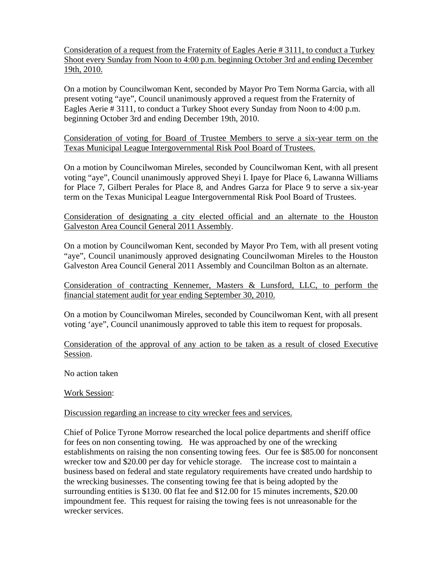Consideration of a request from the Fraternity of Eagles Aerie # 3111, to conduct a Turkey Shoot every Sunday from Noon to 4:00 p.m. beginning October 3rd and ending December 19th, 2010.

On a motion by Councilwoman Kent, seconded by Mayor Pro Tem Norma Garcia, with all present voting "aye", Council unanimously approved a request from the Fraternity of Eagles Aerie # 3111, to conduct a Turkey Shoot every Sunday from Noon to 4:00 p.m. beginning October 3rd and ending December 19th, 2010.

Consideration of voting for Board of Trustee Members to serve a six-year term on the Texas Municipal League Intergovernmental Risk Pool Board of Trustees.

On a motion by Councilwoman Mireles, seconded by Councilwoman Kent, with all present voting "aye", Council unanimously approved Sheyi I. Ipaye for Place 6, Lawanna Williams for Place 7, Gilbert Perales for Place 8, and Andres Garza for Place 9 to serve a six-year term on the Texas Municipal League Intergovernmental Risk Pool Board of Trustees.

## Consideration of designating a city elected official and an alternate to the Houston Galveston Area Council General 2011 Assembly.

On a motion by Councilwoman Kent, seconded by Mayor Pro Tem, with all present voting "aye", Council unanimously approved designating Councilwoman Mireles to the Houston Galveston Area Council General 2011 Assembly and Councilman Bolton as an alternate.

Consideration of contracting Kennemer, Masters & Lunsford, LLC, to perform the financial statement audit for year ending September 30, 2010.

On a motion by Councilwoman Mireles, seconded by Councilwoman Kent, with all present voting 'aye", Council unanimously approved to table this item to request for proposals.

Consideration of the approval of any action to be taken as a result of closed Executive Session.

No action taken

# Work Session:

# Discussion regarding an increase to city wrecker fees and services.

Chief of Police Tyrone Morrow researched the local police departments and sheriff office for fees on non consenting towing. He was approached by one of the wrecking establishments on raising the non consenting towing fees. Our fee is \$85.00 for nonconsent wrecker tow and \$20.00 per day for vehicle storage. The increase cost to maintain a business based on federal and state regulatory requirements have created undo hardship to the wrecking businesses. The consenting towing fee that is being adopted by the surrounding entities is \$130.00 flat fee and \$12.00 for 15 minutes increments, \$20.00 impoundment fee. This request for raising the towing fees is not unreasonable for the wrecker services.